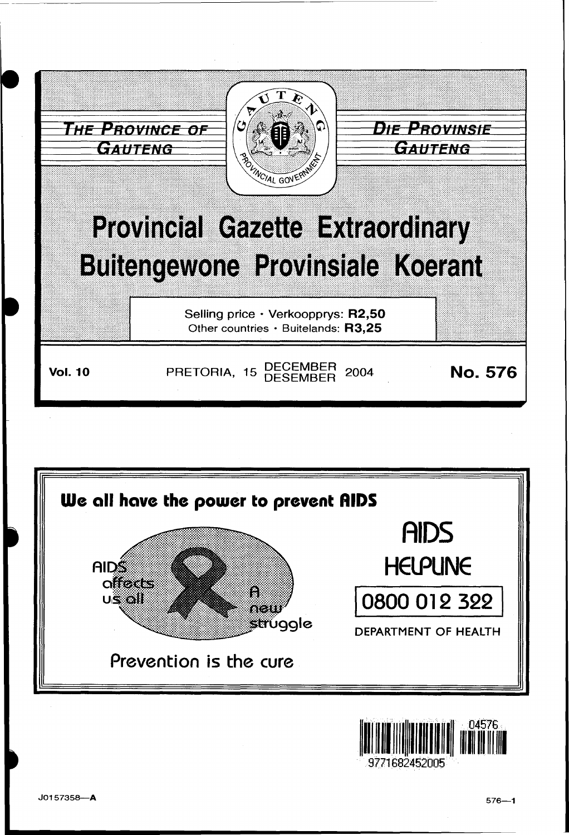



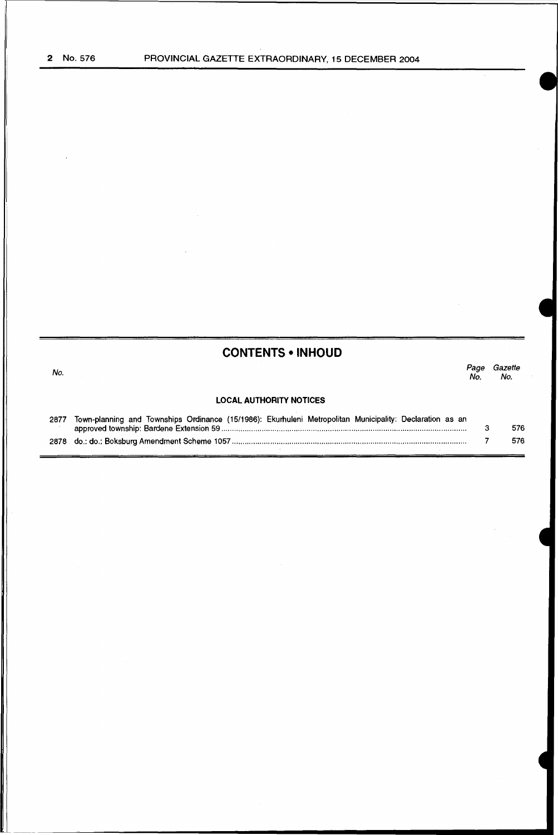# **CONTENTS • INHOUD**

| No.  |                                                                                                          | No. | Gazette<br>No. |
|------|----------------------------------------------------------------------------------------------------------|-----|----------------|
|      | <b>LOCAL AUTHORITY NOTICES</b>                                                                           |     |                |
| 2877 | Town-planning and Townships Ordinance (15/1986): Ekurhuleni Metropolitan Municipality: Declaration as an |     | 576            |
|      |                                                                                                          |     | 576            |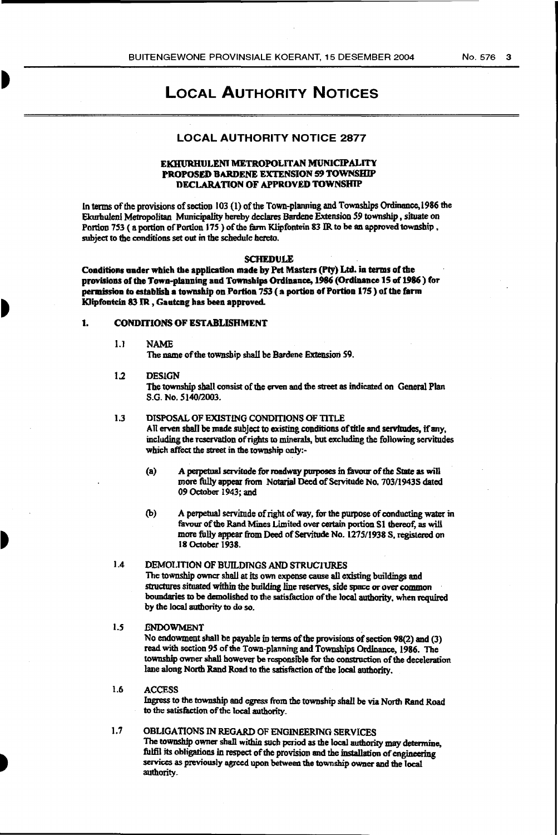# LOCAL AUTHORITY NOTICES

# LOCAL AUTHORITY NOTICE 2877

#### EKHURHULENI METROPOLITAN MUNICIPALITY PROPOSED BARDENE EXTENSION 59 TOWNSHIP DECLARATION OF APPROVED TOWNSHIP

In terms of the provisions of section 103 (1) of the Town-planning and Townships Ordinance, 1986 the Ekurhuleni Metropolitan Municipality hereby declares Bardene Extension 59 township, situate on Portion 753 (a portion of Portion 175) of the farm Klipfontein 83 IR to be an approved township, subject to the conditions set out in the schedule hereto.

#### SCHEDULE

Conditions under which the application made by Pet Masters (Pty) Ltd. in terms of the provisions of the Town-planning and Townships Ordinance, 1986 (Ordinance 15 of 1986) for permission to establish a township on Portion 753 ( a portion of Portion l7S ) of tbe farm Klipfontein 831R , Gautcng has been approved.

#### 1. CONDITIONS OF ESTABLISHMENT

1.1 NAME

The name of the township shall be Bardene Extensicm S9.

#### 1.2 DESIGN

The township shall consist of the erven and the street as indicated on General Plan S.G. No. 5140/2003.

#### 1.3 DISPOSAL OF EXISTING CONDITIONS OF TITLE

All erven shall be made subject to existing conditions of title and servitudes, if any, including the reservation of rights to minerals, but excluding the following servitudes which affect the street in the township only:-

- (a) A perpetual servitude for roadway purposes in favour of the State as will more fully appear from Notarial Deed of Servitude No. 703/1943S dated 09 October 1943; and
- (b) A perpetual servimde of right of way. for the purpose of conducting water in favour of the Rand Mines Limited over certain portion Sl thereof, as will more fully appear from Deed of Servitude No. 1275/1938 S, registered on 18 October 1938.

## 1.4 DEMOLITION OF BUILDINGS AND STRUCTURES

The township owner shall at its own expense cause all existing buildings and structures situated within the building line reserves, side space or over common boundaries to be demolished to the satisfaction of the local authority, when required by the local authority to do so.

#### *1.5* .ENDOWMENT .

No endowment shall be payable in terms of the provisions of section  $98(2)$  and (3) read with section *95* of the Town-planning and Townships Ordinance, 1986. The township owner shall however be responsible for the construction of the deceleration lane along North Rand Road to the satisfaction of the local authority.

#### 1.6 ACCESS

Ingress to the township and egress from the township shall be via North Rand Road to the satisfaction of the local authority.

1.7 OBLIGATIONS IN REGARD OF ENGINEERING SERVICES The township owner shall within such period as the local authority may determine, fulfil its obligations in respect of the provision and the installation of engineering services as previously agreed upon between the township owner and the local authority\_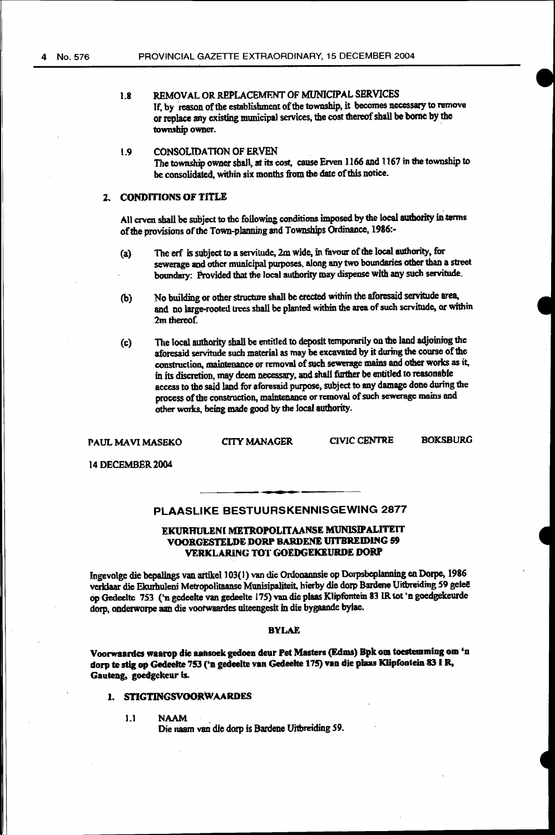## 1.8 REMOVAL OR REPLACEMENT OF MUNICIPAL SERVICES If, by reason of the establishment of the township, it becomes necessary to remove or replace any existing municipal services, the cost thereof shall be borne by the township owner.

## L9 CONSOLIDATION OF ERVEN The township owner sbaJI, at its cost. cause Erven 1166 and 1167 in the township to be consolidated, within six months from the date of this notice.

# 2. CONDITIONS OF TITLE

All crven shall be subject to the following conditions imposed by the local authority in terms of the provisions of the Town-planning and Townships Ordinance, 1986:-

- (a) The erf is subject to a servitude, 2m wide, in favour of the local authority, for sewerage and other municipal purposes, along any two boundaries other than a street boundary: Provided that the local authority may dispeose with any sucb servitude.
- (b) No building or other strueture shall be erected within the aforesaid servitude area. and no large-rooted trees shall be planted within the area of such servitude, or within 2m thereof.
- (c) The local authority shall be entitled to deposit temponu:ily on the land adjoining the aforesaid servitude such material as may be excavated by it during the course of the construction, maintenance or removal of such sewerage mains and other works as it, in its discretion, may deem necessary, and shall further be entitled to reasonable access to the said land for aforesaid purpose. subject to my damage done during the process of the construction, maintenance or removal of such sewerage mains and other works, being made good by the local authority.

PAUL MAVI MASEKO CITY MANAGER CIVIC CENTRE **BOKSBURG** 

14 DECEMBER 2004

## PLAASLIKE BESTUURSKENNISGEWING 2877

. -.

#### EKURHULENI METROPOLITAANSE MUNISIPALITEIT VOORGESTELDE DORP BARDENE UITBREIDING 59 VERKLARING TOT GOEDGEKEURDE DORP

Ingevolge die bepalings van artikel 103(1) van die Ordonannsie op Dorpsbeplanning en Dorpe, 1986 verklaar die Ekurhuleni Metropolitaanse Munisipaliteit. hierby die dorp Bardene Uitbreiding 59 geleë op Gedeelte 753 ('n gedeelte van gedeelte 175) van die plaas Klipfontein 83 IR tot 'n goedgekeurde dorp, onderwotpe aan die vootwaardes uiteengesit in die bygaande bylae.

#### BYLAE

Voorwaanlcs waarop die aansoek gedoeo deur Pet Masters (Edms) Bpk om toestemmiog om 'o dorp te stig op Gedeelte 753 ('n gedeelte van Gedeelte 175) van die plaas Klipfooteio 83 I R, Gauteng, goedgekeur is..

#### 1. STIGTINGSVOORWAARDES

1.1 NAAM

Die naam van die dorp is Bardene U'rtbreiding *59.*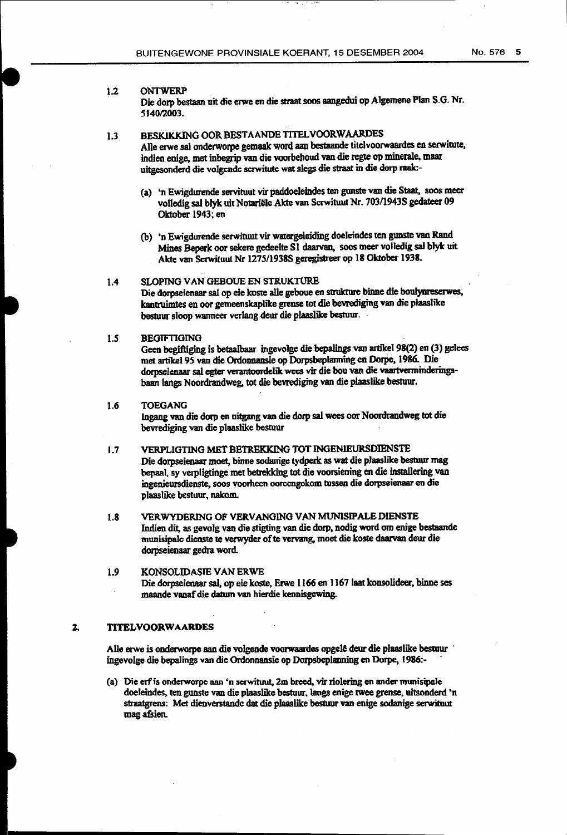#### 1.2 ONTWERP

Die dorp bestaan uit die erwe en die straat soos aangedui op Algemene Plan S.G. Nr. 5140/2003.

# 1.3 BESKIKKING OOR BESTAANDE TITELVOORWAARDES

Aile erwe sal onderworpe gemaak word aan bestaande titclvoorwaardes en serwimte, indien enige, met inbegrip van die voorbehoud van die regte op minerale, maar uitgesonderd die volgende scrwitute wat slegs die straat in die dorp raak:-

- (a) 'n Ewigdurende servituut vir paddoeleindes ten gunste van die Staat, soos meer volledig sal blyk uit Notariele Akte van Scrwituut Nr. 703/19438 gedateer 09 Oktober 1943; en
- (b) 'n Ewigdurende serwituut vir watergeleiding doeleindes ten gunste van Rand Mines Beperk oor sekere gedeelte S1 daarvan. soos meer vo11edig sal bly'k uit Akte van Scrwituut Nr 1275/19385 geregistreer op 18 Oktober 1938.

## 1.4 SLOPING VAN GEBOUE EN STRUKTURB

Die dorpseienaar sai op eie koste alle geboue en strukture binne die boulymeserwes, kantruimtes en oor gemeenskaplilce grease tot die bevrediging van die plaas1ike bestuvr sloop wanncer vcrlang deur die plaaslike bestuur. ·

## *l.S* BEGTFTIGING

Geen begiftiging is betaalbaar ingevolge die bepalings van artikel 98(2) en (3) gelees met artikel 95 van die Ordonnansie op Dorpsbeplanning en Dorpe. 1986. Die dorpseienaar sal egter verantoordelik wees vir die bou van die vaartverminderingsbaan langs Noordrandweg, tot die bevrediging van die plaaslike bestour.

#### 1.6 TOEGANG

plaaslike bestuur, nakom.

lngang van die dorp en uitgang van die dorp sal wees oor Noordrandweg tot die bevrediging van die plaaslike besruur

## 1.7 VERPLIGTING MET BETREKKING TOT INGENIEURSDIENSTE Die dorpseienaar moet, binne sodanige tydperk as wat die plaaslike bestuur mag bepaal, sy verpligtinge met betrekking tot die voorsiening en die installering van ingenieursdienste, soos voorhecn oorccngckom tussen die dorpseienaar en die

1.8 VERWYDERING OF VERVANGING VAN MUNISIPALE DIENSTE lndien dit, as gevoJg van die stigting van die dorp. nodig word om enige bestaande munisipalc dienste te verwyder of te vervang, moet die koste daarvan deur die dorpseienaar gedra word.

#### 1.9 KONSOLIDASIE VAN ERWE Die dorpseienaar sal, op eie koste, Erwe 1166 en 1167 laat konsolideer, binne ses maande vanaf die datum van hierdie kennisgewiug.

#### 2. TITELVOORWAARDES

Alle erwe is onderworpe aan die volgende voorwaardes opgelê deur die plaaslike bestuur ingevo1ge die bepalings van die Ordonnansie op Dorpsbeplarming en Dorpe, 1986:- ·

(a) Die etf is onderworpe aan 'n scrwituut, 2m breed, vir riolering en ander munisipale doeleindes. ten gunste van die plaaslike bestuur. langs enige twee grense, ultsonderd •n straatgrens: Met dienverstandc dat die plaaslike bestuur van enige sodanige serwituut magafsien.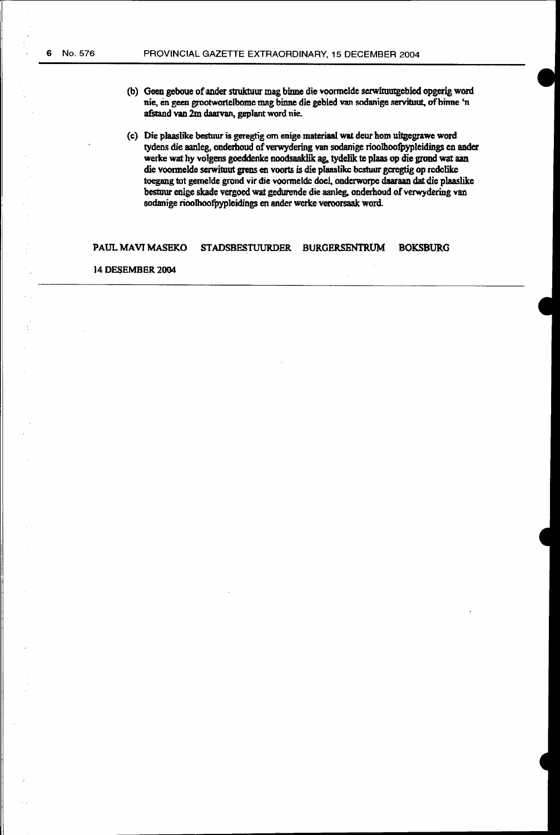- (b) Geen geboue of.ander struktuur mag binne die voonnclde scrwituutgebied opgerig word nie, en geen grootwortclbome mag binne die gebied van sodanige servituut, ofbinne 'n afstand van 2m daarvan, geplant word nie.
- (c) Die plaaslike bestuur is geregtig om enige materiaal wa1 deur hom uitgegrawc word tydens die aanleg, onderhoud of verwydering van sodanige rioolhoofpypleidings en ander werke wat by volgens goeddenke noodsaaldik ag. tydelik te plaas op die grond wat aan die voormelde serwituut grens en voorts is die plaaslike bestuur geregtig op redelike toegang tot gemelde grond vir die voormelde doel, onderworpe daaraan dat die plaaslike bestuur enige skade vergoed wat gedurende die aanleg. onderboud of verwydering van sodanige rioolhootpypleidings en ander werke veroorsaak word.

## PAUL MAVJ MASEKO STADSBESTUURDER BURGERSENTRUM BOKSBURG

#### 14 DESEMBER 2004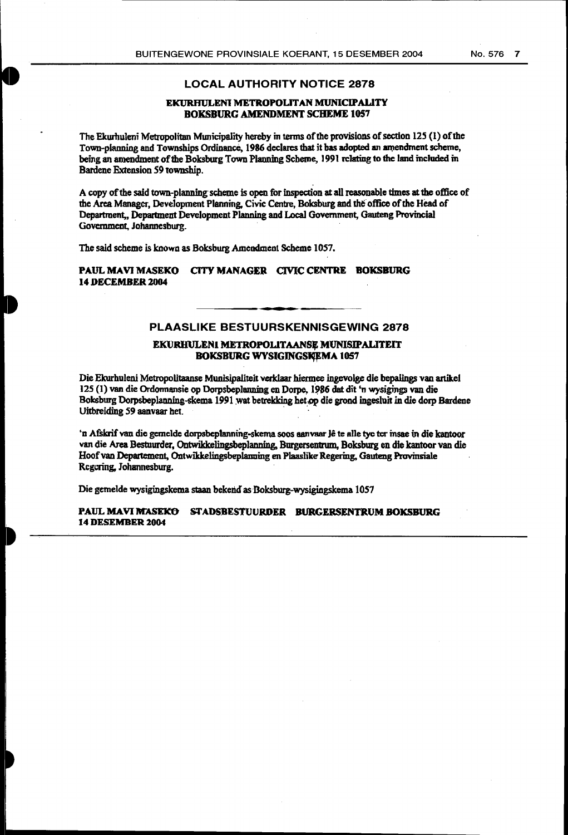## LOCAL AUTHORITY NOTICE 2878

#### EKURRULENI METROPOLITAN MUNICIPALITY BOKSBURG AMENDMENT SCHEME 1057

The Ekurhuleni Metropolitan Municipality hereby in terms of the provisions of section 125 (1) of the Town-planning and Townships Ordinance, 1986 declares that it bas adopted an amendment scheme, being an amendment of the Boksburg Town Planning Scheme, 1991 rclating to the land included in Bardene Extension 59 township.

A copy of the said town-planning scheme is open for inspection at all reasonable times at the office of the Area Manager, Development Planning, Civic Centre, Boksburg and the office of the Head of Department, Department Development Planning and Local Government, Gauteng Provincial Government, Johannesburg.

The said scheme is known as Boksburg Amendment Scheme 1057.

PAUL MAVI MASEKO CITY MANAGER CIVIC CENTRE BOKSBURG 14 DECEMBER 2004

# PLAASLIKE BESTUURSKENNISGEWING 2878

#### EKURHULENI METROPOLITAANSE MUNISIPALITEIT BOKSBURG WYSIGINGSKEMA 1057

Die Ekurhuleni Metropolitaanse Munisipaliteit verklaar hiermee ingevolge die bepalings van artikel 125 (1) van die Ordonnansie op Dorpsbeplanning en Dorpe, 1986 dat dit 'n wysigings van die Boksburg Dorpsbeplanning-skema 1991 wat betrekking het op die grond ingesluit in die dorp Bardene Uitbreiding 59 aanvaar het.

•n Afskrif van die gcmcJdc dmpsbep1anning-skema soos aanvaar Je te aile tyc tcr insae in die kaotoor van die Area Bestnurder, Ontwikkelingsbeplanning. Burgersentrum, Boksburg en die kantoor van die Hoof van Departement, Ontwikkelingsbeplanning en Plaaslike Regering, Gauteng Provinsiale Regcring, Johannesburg.

Die gemelde wysigingskema staan bekend as Boksburg-wysigingskema 1057

PAUL MAVI MASEKO STADSBESTUURDER BURGERSENTRUM BOKSBURG 14 DESEMBER 2004